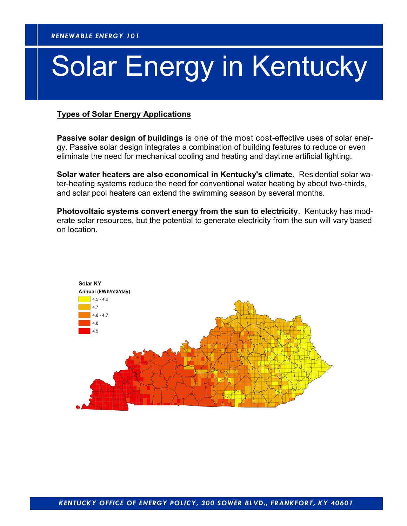# Solar Energy in Kentucky

#### **Types of Solar Energy Applications**

**Passive solar design of buildings** is one of the most cost-effective uses of solar energy. Passive solar design integrates a combination of building features to reduce or even eliminate the need for mechanical cooling and heating and daytime artificial lighting.

**Solar water heaters are also economical in Kentucky's climate**. Residential solar water-heating systems reduce the need for conventional water heating by about two-thirds, and solar pool heaters can extend the swimming season by several months.

**Photovoltaic systems convert energy from the sun to electricity**. Kentucky has moderate solar resources, but the potential to generate electricity from the sun will vary based on location.